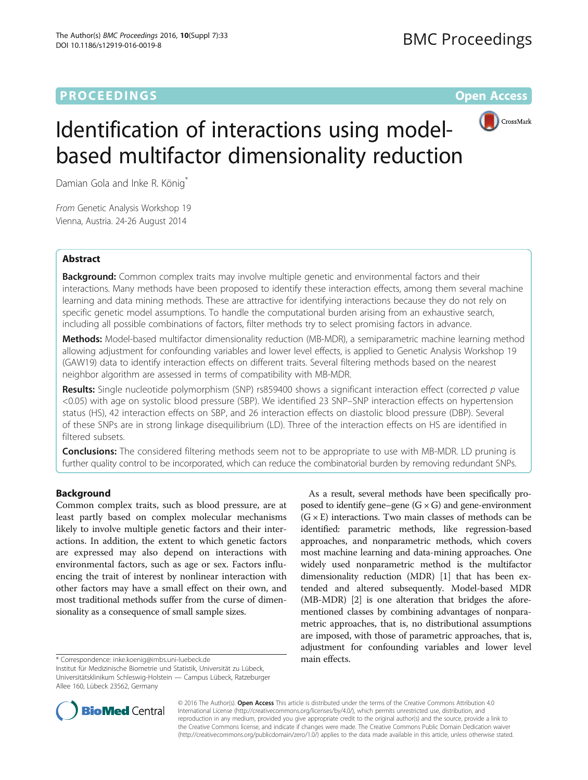# **PROCEEDINGS CONSUMING S** Open Access **CONSUMING S**



# Identification of interactions using modelbased multifactor dimensionality reduction

Damian Gola and Inke R. König<sup>\*</sup>

From Genetic Analysis Workshop 19 Vienna, Austria. 24-26 August 2014

# Abstract

**Background:** Common complex traits may involve multiple genetic and environmental factors and their interactions. Many methods have been proposed to identify these interaction effects, among them several machine learning and data mining methods. These are attractive for identifying interactions because they do not rely on specific genetic model assumptions. To handle the computational burden arising from an exhaustive search, including all possible combinations of factors, filter methods try to select promising factors in advance.

Methods: Model-based multifactor dimensionality reduction (MB-MDR), a semiparametric machine learning method allowing adjustment for confounding variables and lower level effects, is applied to Genetic Analysis Workshop 19 (GAW19) data to identify interaction effects on different traits. Several filtering methods based on the nearest neighbor algorithm are assessed in terms of compatibility with MB-MDR.

Results: Single nucleotide polymorphism (SNP) rs859400 shows a significant interaction effect (corrected p value <0.05) with age on systolic blood pressure (SBP). We identified 23 SNP–SNP interaction effects on hypertension status (HS), 42 interaction effects on SBP, and 26 interaction effects on diastolic blood pressure (DBP). Several of these SNPs are in strong linkage disequilibrium (LD). Three of the interaction effects on HS are identified in filtered subsets.

**Conclusions:** The considered filtering methods seem not to be appropriate to use with MB-MDR. LD pruning is further quality control to be incorporated, which can reduce the combinatorial burden by removing redundant SNPs.

# Background

Common complex traits, such as blood pressure, are at least partly based on complex molecular mechanisms likely to involve multiple genetic factors and their interactions. In addition, the extent to which genetic factors are expressed may also depend on interactions with environmental factors, such as age or sex. Factors influencing the trait of interest by nonlinear interaction with other factors may have a small effect on their own, and most traditional methods suffer from the curse of dimensionality as a consequence of small sample sizes.

\* Correspondence: [inke.koenig@imbs.uni-luebeck.de](mailto:inke.koenig@imbs.uni-luebeck.de) main effects.

Institut für Medizinische Biometrie und Statistik, Universität zu Lübeck, Universitätsklinikum Schleswig-Holstein — Campus Lübeck, Ratzeburger Allee 160, Lübeck 23562, Germany

As a result, several methods have been specifically proposed to identify gene–gene  $(G \times G)$  and gene-environment  $(G \times E)$  interactions. Two main classes of methods can be identified: parametric methods, like regression-based approaches, and nonparametric methods, which covers most machine learning and data-mining approaches. One widely used nonparametric method is the multifactor dimensionality reduction (MDR) [[1\]](#page-3-0) that has been extended and altered subsequently. Model-based MDR (MB-MDR) [[2\]](#page-3-0) is one alteration that bridges the aforementioned classes by combining advantages of nonparametric approaches, that is, no distributional assumptions are imposed, with those of parametric approaches, that is, adjustment for confounding variables and lower level



© 2016 The Author(s). Open Access This article is distributed under the terms of the Creative Commons Attribution 4.0 International License [\(http://creativecommons.org/licenses/by/4.0/](http://creativecommons.org/licenses/by/4.0/)), which permits unrestricted use, distribution, and reproduction in any medium, provided you give appropriate credit to the original author(s) and the source, provide a link to the Creative Commons license, and indicate if changes were made. The Creative Commons Public Domain Dedication waiver [\(http://creativecommons.org/publicdomain/zero/1.0/](http://creativecommons.org/publicdomain/zero/1.0/)) applies to the data made available in this article, unless otherwise stated.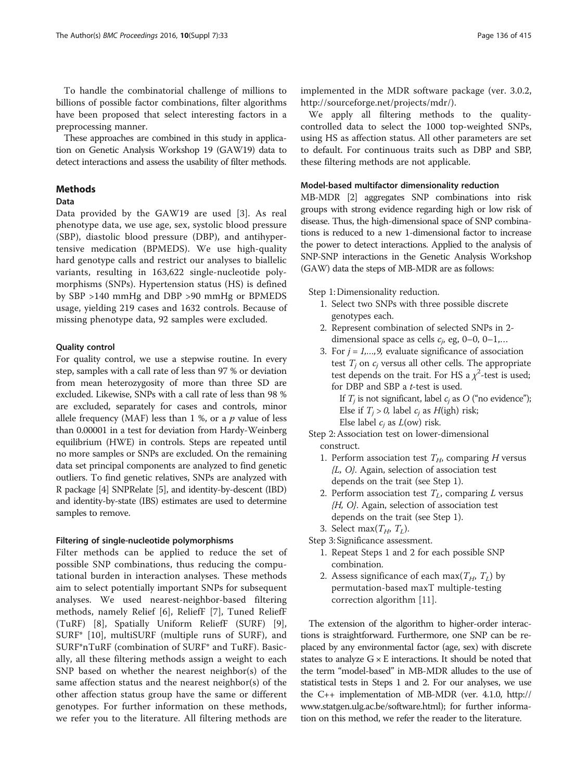To handle the combinatorial challenge of millions to billions of possible factor combinations, filter algorithms have been proposed that select interesting factors in a preprocessing manner.

These approaches are combined in this study in application on Genetic Analysis Workshop 19 (GAW19) data to detect interactions and assess the usability of filter methods.

#### Methods

#### Data

Data provided by the GAW19 are used [[3\]](#page-3-0). As real phenotype data, we use age, sex, systolic blood pressure (SBP), diastolic blood pressure (DBP), and antihypertensive medication (BPMEDS). We use high-quality hard genotype calls and restrict our analyses to biallelic variants, resulting in 163,622 single-nucleotide polymorphisms (SNPs). Hypertension status (HS) is defined by SBP >140 mmHg and DBP >90 mmHg or BPMEDS usage, yielding 219 cases and 1632 controls. Because of missing phenotype data, 92 samples were excluded.

### Quality control

For quality control, we use a stepwise routine. In every step, samples with a call rate of less than 97 % or deviation from mean heterozygosity of more than three SD are excluded. Likewise, SNPs with a call rate of less than 98 % are excluded, separately for cases and controls, minor allele frequency (MAF) less than  $1\%$ , or a p value of less than 0.00001 in a test for deviation from Hardy-Weinberg equilibrium (HWE) in controls. Steps are repeated until no more samples or SNPs are excluded. On the remaining data set principal components are analyzed to find genetic outliers. To find genetic relatives, SNPs are analyzed with R package [[4](#page-4-0)] SNPRelate [[5](#page-4-0)], and identity-by-descent (IBD) and identity-by-state (IBS) estimates are used to determine samples to remove.

### Filtering of single-nucleotide polymorphisms

Filter methods can be applied to reduce the set of possible SNP combinations, thus reducing the computational burden in interaction analyses. These methods aim to select potentially important SNPs for subsequent analyses. We used nearest-neighbor-based filtering methods, namely Relief [[6\]](#page-4-0), ReliefF [[7\]](#page-4-0), Tuned ReliefF (TuRF) [[8\]](#page-4-0), Spatially Uniform ReliefF (SURF) [\[9](#page-4-0)], SURF\* [[10\]](#page-4-0), multiSURF (multiple runs of SURF), and SURF\*nTuRF (combination of SURF\* and TuRF). Basically, all these filtering methods assign a weight to each SNP based on whether the nearest neighbor(s) of the same affection status and the nearest neighbor(s) of the other affection status group have the same or different genotypes. For further information on these methods, we refer you to the literature. All filtering methods are implemented in the MDR software package (ver. 3.0.2, [http://sourceforge.net/projects/mdr/\)](http://sourceforge.net/projects/mdr/).

We apply all filtering methods to the qualitycontrolled data to select the 1000 top-weighted SNPs, using HS as affection status. All other parameters are set to default. For continuous traits such as DBP and SBP, these filtering methods are not applicable.

#### Model-based multifactor dimensionality reduction

MB-MDR [[2](#page-3-0)] aggregates SNP combinations into risk groups with strong evidence regarding high or low risk of disease. Thus, the high-dimensional space of SNP combinations is reduced to a new 1-dimensional factor to increase the power to detect interactions. Applied to the analysis of SNP-SNP interactions in the Genetic Analysis Workshop (GAW) data the steps of MB-MDR are as follows:

Step 1: Dimensionality reduction.

- 1. Select two SNPs with three possible discrete genotypes each.
- 2. Represent combination of selected SNPs in 2 dimensional space as cells  $c_i$ , eg, 0–0, 0–1,...
- 3. For  $j = 1, \ldots, 9$ , evaluate significance of association test  $T_i$  on  $c_i$  versus all other cells. The appropriate test depends on the trait. For HS a  $\chi^2$ -test is used; for DBP and SBP a t-test is used.

If  $T_i$  is not significant, label  $c_i$  as O ("no evidence"); Else if  $T_i > 0$ , label  $c_i$  as  $H(\text{igh})$  risk; Else label  $c_i$  as  $L(ow)$  risk.

- Step 2: Association test on lower-dimensional construct.
	- 1. Perform association test  $T_H$ , comparing H versus  ${L, O}$ . Again, selection of association test depends on the trait (see Step 1).
	- 2. Perform association test  $T_L$ , comparing L versus {H, O}. Again, selection of association test depends on the trait (see Step 1).
	- 3. Select max $(T_H, T_L)$ .

Step 3: Significance assessment.

- 1. Repeat Steps 1 and 2 for each possible SNP combination.
- 2. Assess significance of each max $(T_H, T_I)$  by permutation-based maxT multiple-testing correction algorithm [\[11](#page-4-0)].

The extension of the algorithm to higher-order interactions is straightforward. Furthermore, one SNP can be replaced by any environmental factor (age, sex) with discrete states to analyze  $G \times E$  interactions. It should be noted that the term "model-based" in MB-MDR alludes to the use of statistical tests in Steps 1 and 2. For our analyses, we use the C++ implementation of MB-MDR (ver. 4.1.0, [http://](http://www.statgen.ulg.ac.be/software.html) [www.statgen.ulg.ac.be/software.html](http://www.statgen.ulg.ac.be/software.html)); for further information on this method, we refer the reader to the literature.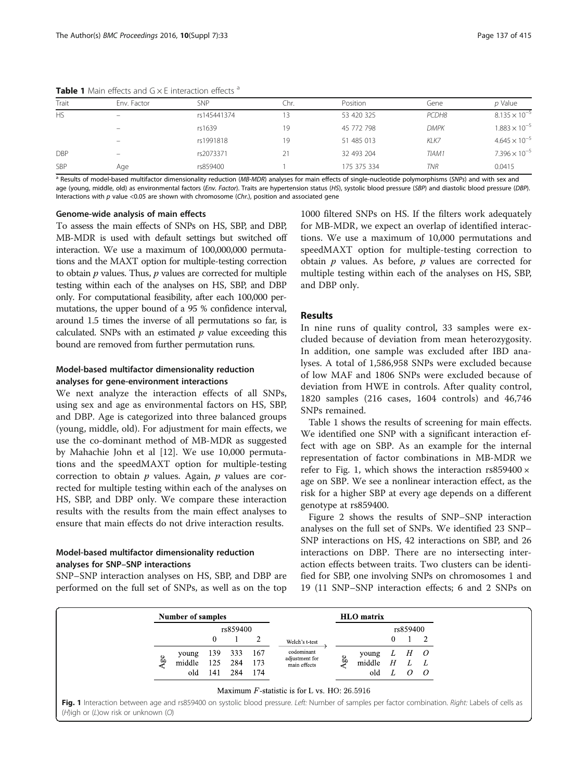| Trait      | Env. Factor              | <b>SNP</b>  | Chr. | Position    | Gene        | $p$ Value              |  |
|------------|--------------------------|-------------|------|-------------|-------------|------------------------|--|
| <b>HS</b>  | $\overline{\phantom{0}}$ | rs145441374 | 13   | 53 420 325  | PCDH8       | $8.135 \times 10^{-5}$ |  |
|            | $\overline{\phantom{0}}$ | rs1639      | 19   | 45 772 798  | <b>DMPK</b> | $1.883 \times 10^{-5}$ |  |
|            |                          | rs1991818   | 19   | 51 485 013  | KLK7        | $4.645 \times 10^{-5}$ |  |
| <b>DBP</b> | $\overline{\phantom{0}}$ | rs2073371   | 21   | 32 493 204  | TIAM1       | $7.396 \times 10^{-5}$ |  |
| <b>SBP</b> | Age                      | rs859400    |      | 175 375 334 | TNR         | 0.0415                 |  |

**Table 1** Main effects and  $G \times E$  interaction effects  $a$ 

<sup>a</sup> Results of model-based multifactor dimensionality reduction (MB-MDR) analyses for main effects of single-nucleotide polymorphisms (SNPs) and with sex and age (young, middle, old) as environmental factors (Env. Factor). Traits are hypertension status (HS), systolic blood pressure (SBP) and diastolic blood pressure (DBP). Interactions with  $p$  value <0.05 are shown with chromosome (Chr.), position and associated gene

#### Genome-wide analysis of main effects

To assess the main effects of SNPs on HS, SBP, and DBP, MB-MDR is used with default settings but switched off interaction. We use a maximum of 100,000,000 permutations and the MAXT option for multiple-testing correction to obtain  $p$  values. Thus,  $p$  values are corrected for multiple testing within each of the analyses on HS, SBP, and DBP only. For computational feasibility, after each 100,000 permutations, the upper bound of a 95 % confidence interval, around 1.5 times the inverse of all permutations so far, is calculated. SNPs with an estimated  $p$  value exceeding this bound are removed from further permutation runs.

## Model-based multifactor dimensionality reduction analyses for gene-environment interactions

We next analyze the interaction effects of all SNPs, using sex and age as environmental factors on HS, SBP, and DBP. Age is categorized into three balanced groups (young, middle, old). For adjustment for main effects, we use the co-dominant method of MB-MDR as suggested by Mahachie John et al [\[12\]](#page-4-0). We use 10,000 permutations and the speedMAXT option for multiple-testing correction to obtain  $p$  values. Again,  $p$  values are corrected for multiple testing within each of the analyses on HS, SBP, and DBP only. We compare these interaction results with the results from the main effect analyses to ensure that main effects do not drive interaction results.

## Model-based multifactor dimensionality reduction analyses for SNP–SNP interactions

SNP–SNP interaction analyses on HS, SBP, and DBP are performed on the full set of SNPs, as well as on the top

1000 filtered SNPs on HS. If the filters work adequately for MB-MDR, we expect an overlap of identified interactions. We use a maximum of 10,000 permutations and speedMAXT option for multiple-testing correction to obtain  $p$  values. As before,  $p$  values are corrected for multiple testing within each of the analyses on HS, SBP, and DBP only.

#### Results

In nine runs of quality control, 33 samples were excluded because of deviation from mean heterozygosity. In addition, one sample was excluded after IBD analyses. A total of 1,586,958 SNPs were excluded because of low MAF and 1806 SNPs were excluded because of deviation from HWE in controls. After quality control, 1820 samples (216 cases, 1604 controls) and 46,746 SNPs remained.

Table 1 shows the results of screening for main effects. We identified one SNP with a significant interaction effect with age on SBP. As an example for the internal representation of factor combinations in MB-MDR we refer to Fig. 1, which shows the interaction  $rs859400 \times$ age on SBP. We see a nonlinear interaction effect, as the risk for a higher SBP at every age depends on a different genotype at rs859400.

Figure [2](#page-3-0) shows the results of SNP–SNP interaction analyses on the full set of SNPs. We identified 23 SNP– SNP interactions on HS, 42 interactions on SBP, and 26 interactions on DBP. There are no intersecting interaction effects between traits. Two clusters can be identified for SBP, one involving SNPs on chromosomes 1 and 19 (11 SNP–SNP interaction effects; 6 and 2 SNPs on

| <b>Number of samples</b> |          |     |     |     | <b>HLO</b> matrix              |     |        |          |                |                |
|--------------------------|----------|-----|-----|-----|--------------------------------|-----|--------|----------|----------------|----------------|
|                          | rs859400 |     |     |     |                                |     |        | rs859400 |                |                |
|                          |          | 0   |     |     | Welch's t-test                 |     |        | 0        |                |                |
| Agec                     | young    | 139 | 333 | 167 | codominant                     | 4gc | young  | L        | H              | $\overline{O}$ |
|                          | middle   | 125 | 284 | 173 | adjustment for<br>main effects |     | middle | H        |                | L              |
|                          | old      | 141 | 284 | 174 |                                |     | old    |          | $\overline{O}$ | $\overline{O}$ |

Fig. 1 Interaction between age and rs859400 on systolic blood pressure. Left: Number of samples per factor combination. Right: Labels of cells as (H)igh or (L)ow risk or unknown (O)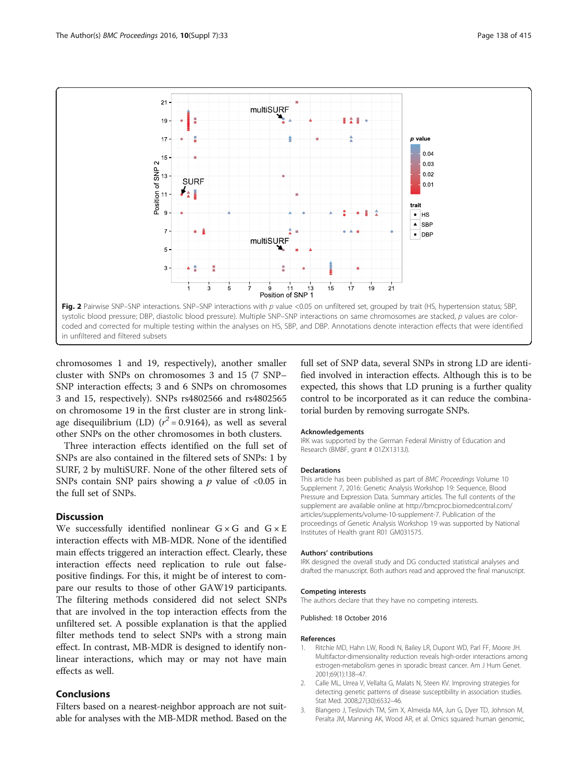<span id="page-3-0"></span>

in unfiltered and filtered subsets

chromosomes 1 and 19, respectively), another smaller cluster with SNPs on chromosomes 3 and 15 (7 SNP– SNP interaction effects; 3 and 6 SNPs on chromosomes 3 and 15, respectively). SNPs rs4802566 and rs4802565 on chromosome 19 in the first cluster are in strong linkage disequilibrium (LD)  $(r^2 = 0.9164)$ , as well as several other SNPs on the other chromosomes in both clusters.

Three interaction effects identified on the full set of SNPs are also contained in the filtered sets of SNPs: 1 by SURF, 2 by multiSURF. None of the other filtered sets of SNPs contain SNP pairs showing a  $p$  value of <0.05 in the full set of SNPs.

# **Discussion**

We successfully identified nonlinear  $G \times G$  and  $G \times E$ interaction effects with MB-MDR. None of the identified main effects triggered an interaction effect. Clearly, these interaction effects need replication to rule out falsepositive findings. For this, it might be of interest to compare our results to those of other GAW19 participants. The filtering methods considered did not select SNPs that are involved in the top interaction effects from the unfiltered set. A possible explanation is that the applied filter methods tend to select SNPs with a strong main effect. In contrast, MB-MDR is designed to identify nonlinear interactions, which may or may not have main effects as well.

# Conclusions

Filters based on a nearest-neighbor approach are not suitable for analyses with the MB-MDR method. Based on the full set of SNP data, several SNPs in strong LD are identified involved in interaction effects. Although this is to be expected, this shows that LD pruning is a further quality control to be incorporated as it can reduce the combinatorial burden by removing surrogate SNPs.

#### Acknowledgements

IRK was supported by the German Federal Ministry of Education and Research (BMBF, grant # 01ZX1313J).

#### Declarations

This article has been published as part of BMC Proceedings Volume 10 Supplement 7, 2016: Genetic Analysis Workshop 19: Sequence, Blood Pressure and Expression Data. Summary articles. The full contents of the supplement are available online at [http://bmcproc.biomedcentral.com/](http://bmcproc.biomedcentral.com/articles/supplements/volume-10-supplement-7) [articles/supplements/volume-10-supplement-7.](http://bmcproc.biomedcentral.com/articles/supplements/volume-10-supplement-7) Publication of the proceedings of Genetic Analysis Workshop 19 was supported by National Institutes of Health grant R01 GM031575.

#### Authors' contributions

IRK designed the overall study and DG conducted statistical analyses and drafted the manuscript. Both authors read and approved the final manuscript.

#### Competing interests

The authors declare that they have no competing interests.

#### Published: 18 October 2016

#### References

- 1. Ritchie MD, Hahn LW, Roodi N, Bailey LR, Dupont WD, Parl FF, Moore JH. Multifactor-dimensionality reduction reveals high-order interactions among estrogen-metabolism genes in sporadic breast cancer. Am J Hum Genet. 2001;69(1):138–47.
- 2. Calle ML, Urrea V, Vellalta G, Malats N, Steen KV. Improving strategies for detecting genetic patterns of disease susceptibility in association studies. Stat Med. 2008;27(30):6532–46.
- 3. Blangero J, Teslovich TM, Sim X, Almeida MA, Jun G, Dyer TD, Johnson M, Peralta JM, Manning AK, Wood AR, et al. Omics squared: human genomic,